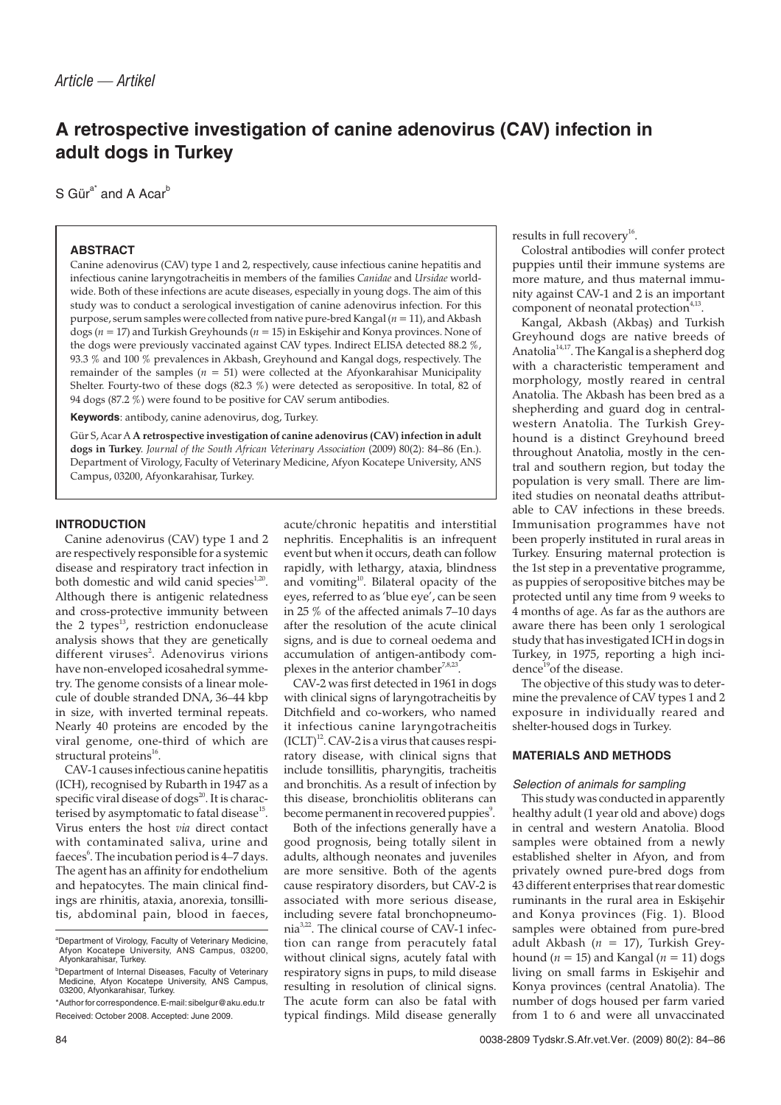# **A retrospective investigation of canine adenovirus (CAV) infection in adult dogs in Turkey**

S Gür $a^*$  and A Acar<sup>b</sup>

# **ABSTRACT**

Canine adenovirus (CAV) type 1 and 2, respectively, cause infectious canine hepatitis and infectious canine laryngotracheitis in members of the families *Canidae* and *Ursidae* worldwide. Both of these infections are acute diseases, especially in young dogs. The aim of this study was to conduct a serological investigation of canine adenovirus infection. For this purpose, serum samples were collected from native pure-bred Kangal (*n* = 11), and Akbash dogs (*n* = 17) and Turkish Greyhounds (*n* = 15) in Eskiehir and Konya provinces. None of the dogs were previously vaccinated against CAV types. Indirect ELISA detected 88.2 %, 93.3 % and 100 % prevalences in Akbash, Greyhound and Kangal dogs, respectively. The remainder of the samples ( $n = 51$ ) were collected at the Afyonkarahisar Municipality Shelter. Fourty-two of these dogs (82.3 %) were detected as seropositive. In total, 82 of 94 dogs (87.2 %) were found to be positive for CAV serum antibodies.

**Keywords**: antibody, canine adenovirus, dog, Turkey.

Gür S, Acar A **A retrospective investigation of canine adenovirus (CAV) infection in adult dogs in Turkey**. *Journal of the South African Veterinary Association* (2009) 80(2): 84–86 (En.). Department of Virology, Faculty of Veterinary Medicine, Afyon Kocatepe University, ANS Campus, 03200, Afyonkarahisar, Turkey.

### **INTRODUCTION**

Canine adenovirus (CAV) type 1 and 2 are respectively responsible for a systemic disease and respiratory tract infection in both domestic and wild canid species<sup>1,20</sup>. Although there is antigenic relatedness and cross-protective immunity between the 2 types<sup>13</sup>, restriction endonuclease analysis shows that they are genetically different viruses<sup>2</sup>. Adenovirus virions have non-enveloped icosahedral symmetry. The genome consists of a linear molecule of double stranded DNA, 36–44 kbp in size, with inverted terminal repeats. Nearly 40 proteins are encoded by the viral genome, one-third of which are structural proteins<sup>16</sup>.

CAV-1 causes infectious canine hepatitis (ICH), recognised by Rubarth in 1947 as a specific viral disease of dogs $^{20}$ . It is characterised by asymptomatic to fatal disease<sup>15</sup>. Virus enters the host *via* direct contact with contaminated saliva, urine and faeces<sup>6</sup>. The incubation period is 4–7 days. The agent has an affinity for endothelium and hepatocytes. The main clinical findings are rhinitis, ataxia, anorexia, tonsillitis, abdominal pain, blood in faeces, acute/chronic hepatitis and interstitial nephritis. Encephalitis is an infrequent event but when it occurs, death can follow rapidly, with lethargy, ataxia, blindness and vomiting<sup>10</sup>. Bilateral opacity of the eyes, referred to as 'blue eye', can be seen in 25 % of the affected animals 7–10 days after the resolution of the acute clinical signs, and is due to corneal oedema and accumulation of antigen-antibody complexes in the anterior chamber<sup>7,8,23</sup>.

CAV-2 was first detected in 1961 in dogs with clinical signs of laryngotracheitis by Ditchfield and co-workers, who named it infectious canine laryngotracheitis  $(ICLT)^{12}$ . CAV-2 is a virus that causes respiratory disease, with clinical signs that include tonsillitis, pharyngitis, tracheitis and bronchitis. As a result of infection by this disease, bronchiolitis obliterans can become permanent in recovered puppies<sup>9</sup>.

Both of the infections generally have a good prognosis, being totally silent in adults, although neonates and juveniles are more sensitive. Both of the agents cause respiratory disorders, but CAV-2 is associated with more serious disease, including severe fatal bronchopneumonia<sup>3,22</sup>. The clinical course of CAV-1 infection can range from peracutely fatal without clinical signs, acutely fatal with respiratory signs in pups, to mild disease resulting in resolution of clinical signs. The acute form can also be fatal with typical findings. Mild disease generally results in full recovery<sup>16</sup>.

Colostral antibodies will confer protect puppies until their immune systems are more mature, and thus maternal immunity against CAV-1 and 2 is an important component of neonatal protection<sup>4,13</sup>.

Kangal, Akbash (Akbaş) and Turkish Greyhound dogs are native breeds of Anatolia<sup>14,17</sup>. The Kangal is a shepherd dog with a characteristic temperament and morphology, mostly reared in central Anatolia. The Akbash has been bred as a shepherding and guard dog in centralwestern Anatolia. The Turkish Greyhound is a distinct Greyhound breed throughout Anatolia, mostly in the central and southern region, but today the population is very small. There are limited studies on neonatal deaths attributable to CAV infections in these breeds. Immunisation programmes have not been properly instituted in rural areas in Turkey. Ensuring maternal protection is the 1st step in a preventative programme, as puppies of seropositive bitches may be protected until any time from 9 weeks to 4 months of age. As far as the authors are aware there has been only 1 serological study that has investigated ICH in dogs in Turkey, in 1975, reporting a high incidence<sup>19</sup>of the disease.

The objective of this study was to determine the prevalence of CAV types 1 and 2 exposure in individually reared and shelter-housed dogs in Turkey.

# **MATERIALS AND METHODS**

#### Selection of animals for sampling

This study was conducted in apparently healthy adult (1 year old and above) dogs in central and western Anatolia. Blood samples were obtained from a newly established shelter in Afyon, and from privately owned pure-bred dogs from 43 different enterprises that rear domestic ruminants in the rural area in Eskisehir and Konya provinces (Fig. 1). Blood samples were obtained from pure-bred adult Akbash (*n* = 17), Turkish Greyhound ( $n = 15$ ) and Kangal ( $n = 11$ ) dogs living on small farms in Eskiehir and Konya provinces (central Anatolia). The number of dogs housed per farm varied from 1 to 6 and were all unvaccinated

a Department of Virology, Faculty of Veterinary Medicine, Afyon Kocatepe University, ANS Campus, 03200, Afyonkarahisar, Turkey.

b Department of Internal Diseases, Faculty of Veterinary Medicine, Afyon Kocatepe University, ANS Campus, 03200, Afyonkarahisar, Turkey.

<sup>\*</sup>Author for correspondence.E-mail:sibelgur@aku.edu.tr Received: October 2008. Accepted: June 2009.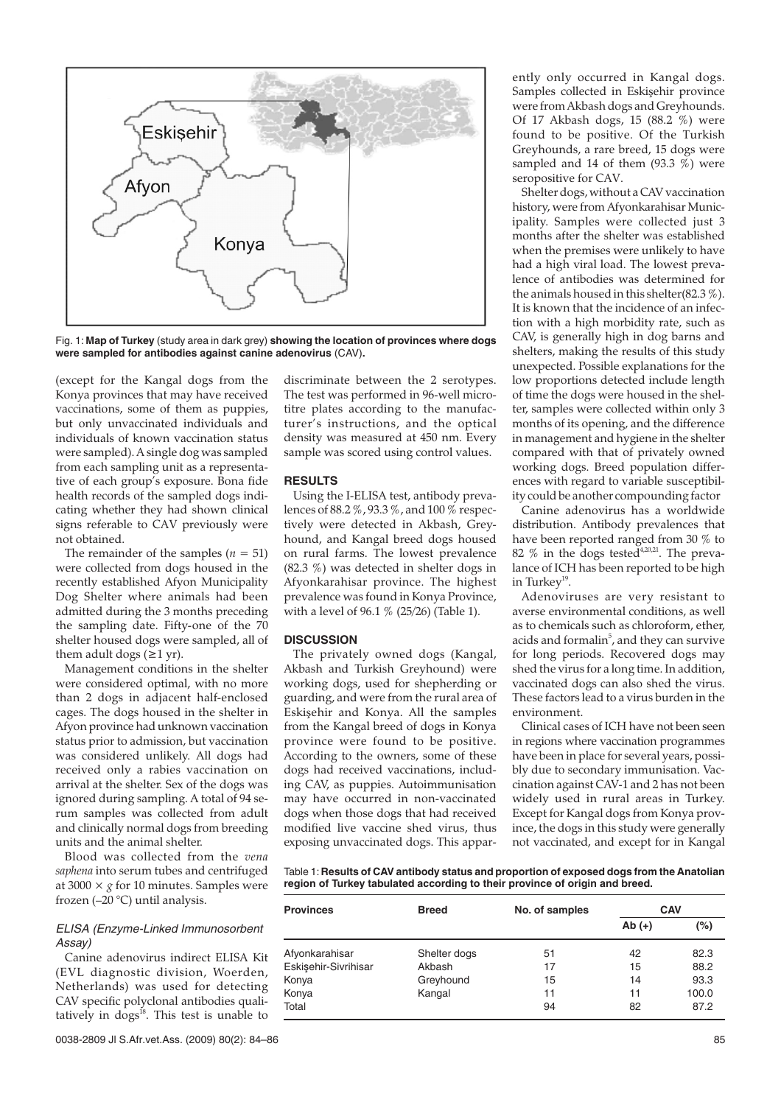

Fig. 1: **Map of Turkey** (study area in dark grey) **showing the location of provinces where dogs were sampled for antibodies against canine adenovirus** (CAV)**.**

(except for the Kangal dogs from the Konya provinces that may have received vaccinations, some of them as puppies, but only unvaccinated individuals and individuals of known vaccination status were sampled). A single dog was sampled from each sampling unit as a representative of each group's exposure. Bona fide health records of the sampled dogs indicating whether they had shown clinical signs referable to CAV previously were not obtained.

The remainder of the samples  $(n = 51)$ were collected from dogs housed in the recently established Afyon Municipality Dog Shelter where animals had been admitted during the 3 months preceding the sampling date. Fifty-one of the 70 shelter housed dogs were sampled, all of them adult dogs  $(≥1 yr)$ .

Management conditions in the shelter were considered optimal, with no more than 2 dogs in adjacent half-enclosed cages. The dogs housed in the shelter in Afyon province had unknown vaccination status prior to admission, but vaccination was considered unlikely. All dogs had received only a rabies vaccination on arrival at the shelter. Sex of the dogs was ignored during sampling. A total of 94 serum samples was collected from adult and clinically normal dogs from breeding units and the animal shelter.

Blood was collected from the *vena saphena* into serum tubes and centrifuged at  $3000 \times g$  for 10 minutes. Samples were frozen (–20 °C) until analysis.

### ELISA (Enzyme-Linked Immunosorbent Assay)

Canine adenovirus indirect ELISA Kit (EVL diagnostic division, Woerden, Netherlands) was used for detecting CAV specific polyclonal antibodies qualitatively in  $\cos^{18}$ . This test is unable to discriminate between the 2 serotypes. The test was performed in 96-well microtitre plates according to the manufacturer's instructions, and the optical density was measured at 450 nm. Every sample was scored using control values.

### **RESULTS**

Using the I-ELISA test, antibody prevalences of 88.2 %, 93.3 %, and 100 % respectively were detected in Akbash, Greyhound, and Kangal breed dogs housed on rural farms. The lowest prevalence (82.3 %) was detected in shelter dogs in Afyonkarahisar province. The highest prevalence was found in Konya Province, with a level of 96.1 % (25/26) (Table 1).

#### **DISCUSSION**

The privately owned dogs (Kangal, Akbash and Turkish Greyhound) were working dogs, used for shepherding or guarding, and were from the rural area of Eskişehir and Konya. All the samples from the Kangal breed of dogs in Konya province were found to be positive. According to the owners, some of these dogs had received vaccinations, including CAV, as puppies. Autoimmunisation may have occurred in non-vaccinated dogs when those dogs that had received modified live vaccine shed virus, thus exposing unvaccinated dogs. This appar-

ently only occurred in Kangal dogs. Samples collected in Eskişehir province were from Akbash dogs and Greyhounds. Of 17 Akbash dogs, 15 (88.2 %) were found to be positive. Of the Turkish Greyhounds, a rare breed, 15 dogs were sampled and 14 of them  $(93.3 \%)$  were seropositive for CAV.

Shelter dogs, without a CAV vaccination history, were from Afyonkarahisar Municipality. Samples were collected just 3 months after the shelter was established when the premises were unlikely to have had a high viral load. The lowest prevalence of antibodies was determined for the animals housed in this shelter(82.3 %). It is known that the incidence of an infection with a high morbidity rate, such as CAV, is generally high in dog barns and shelters, making the results of this study unexpected. Possible explanations for the low proportions detected include length of time the dogs were housed in the shelter, samples were collected within only 3 months of its opening, and the difference in management and hygiene in the shelter compared with that of privately owned working dogs. Breed population differences with regard to variable susceptibility could be another compounding factor

Canine adenovirus has a worldwide distribution. Antibody prevalences that have been reported ranged from 30 % to 82  $%$  in the dogs tested<sup>4,20,21</sup>. The prevalance of ICH has been reported to be high in Turkey<sup>19</sup>.

Adenoviruses are very resistant to averse environmental conditions, as well as to chemicals such as chloroform, ether, acids and formalin $^5$ , and they can survive for long periods. Recovered dogs may shed the virus for a long time. In addition, vaccinated dogs can also shed the virus. These factors lead to a virus burden in the environment.

Clinical cases of ICH have not been seen in regions where vaccination programmes have been in place for several years, possibly due to secondary immunisation. Vaccination against CAV-1 and 2 has not been widely used in rural areas in Turkey. Except for Kangal dogs from Konya province, the dogs in this study were generally not vaccinated, and except for in Kangal

Table 1:**Results of CAV antibody status and proportion of exposed dogs from the Anatolian region of Turkey tabulated according to their province of origin and breed.**

| <b>Provinces</b>     | <b>Breed</b> | No. of samples | CAV      |       |
|----------------------|--------------|----------------|----------|-------|
|                      |              |                | $Ab (+)$ | (%)   |
| Afyonkarahisar       | Shelter dogs | 51             | 42       | 82.3  |
| Eskişehir-Sivrihisar | Akbash       | 17             | 15       | 88.2  |
| Konya                | Greyhound    | 15             | 14       | 93.3  |
| Konya                | Kangal       | 11             | 11       | 100.0 |
| Total                |              | 94             | 82       | 87.2  |